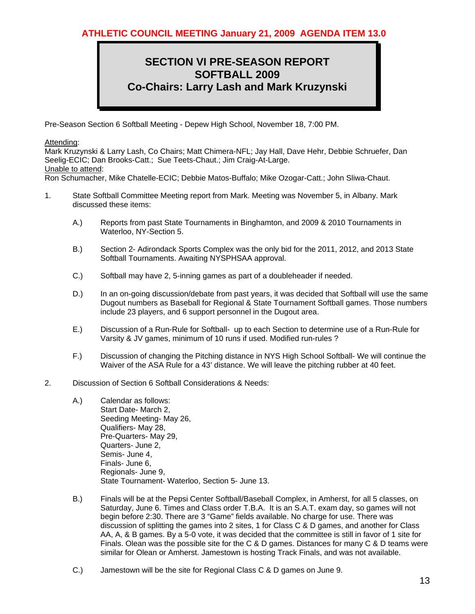## **SECTION VI PRE-SEASON REPORT SOFTBALL 2009 Co-Chairs: Larry Lash and Mark Kruzynski**

Pre-Season Section 6 Softball Meeting - Depew High School, November 18, 7:00 PM.

## Attending:

Mark Kruzynski & Larry Lash, Co Chairs; Matt Chimera-NFL; Jay Hall, Dave Hehr, Debbie Schruefer, Dan Seelig-ECIC; Dan Brooks-Catt.; Sue Teets-Chaut.; Jim Craig-At-Large. Unable to attend:

Ron Schumacher, Mike Chatelle-ECIC; Debbie Matos-Buffalo; Mike Ozogar-Catt.; John Sliwa-Chaut.

- 1. State Softball Committee Meeting report from Mark. Meeting was November 5, in Albany. Mark discussed these items:
	- A.) Reports from past State Tournaments in Binghamton, and 2009 & 2010 Tournaments in Waterloo, NY-Section 5.
	- B.) Section 2- Adirondack Sports Complex was the only bid for the 2011, 2012, and 2013 State Softball Tournaments. Awaiting NYSPHSAA approval.
	- C.) Softball may have 2, 5-inning games as part of a doubleheader if needed.
	- D.) In an on-going discussion/debate from past years, it was decided that Softball will use the same Dugout numbers as Baseball for Regional & State Tournament Softball games. Those numbers include 23 players, and 6 support personnel in the Dugout area.
	- E.) Discussion of a Run-Rule for Softball- up to each Section to determine use of a Run-Rule for Varsity & JV games, minimum of 10 runs if used. Modified run-rules ?
	- F.) Discussion of changing the Pitching distance in NYS High School Softball- We will continue the Waiver of the ASA Rule for a 43' distance. We will leave the pitching rubber at 40 feet.
- 2. Discussion of Section 6 Softball Considerations & Needs:
	- A.) Calendar as follows: Start Date- March 2, Seeding Meeting- May 26, Qualifiers- May 28, Pre-Quarters- May 29, Quarters- June 2, Semis- June 4, Finals- June 6, Regionals- June 9, State Tournament- Waterloo, Section 5- June 13.
	- B.) Finals will be at the Pepsi Center Softball/Baseball Complex, in Amherst, for all 5 classes, on Saturday, June 6. Times and Class order T.B.A. It is an S.A.T. exam day, so games will not begin before 2:30. There are 3 "Game" fields available. No charge for use. There was discussion of splitting the games into 2 sites, 1 for Class C & D games, and another for Class AA, A, & B games. By a 5-0 vote, it was decided that the committee is still in favor of 1 site for Finals. Olean was the possible site for the C & D games. Distances for many C & D teams were similar for Olean or Amherst. Jamestown is hosting Track Finals, and was not available.
	- C.) Jamestown will be the site for Regional Class C & D games on June 9.